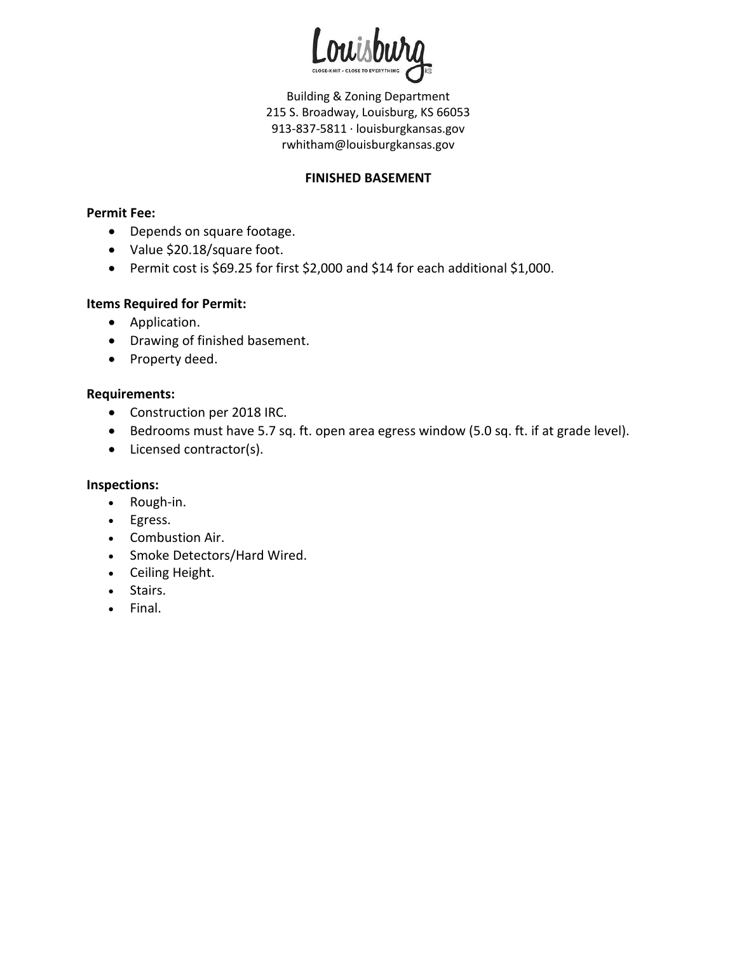

Building & Zoning Department 215 S. Broadway, Louisburg, KS 66053 913-837-5811 · louisburgkansas.gov rwhitham@louisburgkansas.gov

# **FINISHED BASEMENT**

#### **Permit Fee:**

- Depends on square footage.
- Value \$20.18/square foot.
- Permit cost is \$69.25 for first \$2,000 and \$14 for each additional \$1,000.

#### **Items Required for Permit:**

- Application.
- Drawing of finished basement.
- Property deed.

# **Requirements:**

- Construction per 2018 IRC.
- Bedrooms must have 5.7 sq. ft. open area egress window (5.0 sq. ft. if at grade level).
- Licensed contractor(s).

# **Inspections:**

- Rough-in.
- Egress.
- Combustion Air.
- Smoke Detectors/Hard Wired.
- Ceiling Height.
- Stairs.
- Final.